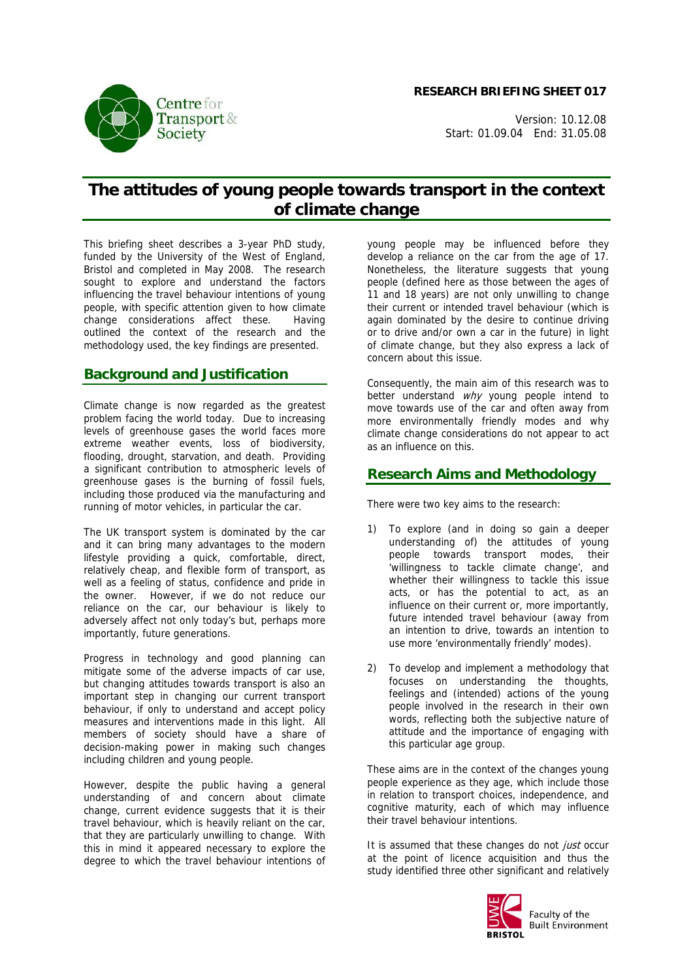**RESEARCH BRIEFING SHEET 017**

Version: 10.12.08 Start: 01.09.04 End: 31.05.08

# **The attitudes of young people towards transport in the context of climate change**

This briefing sheet describes a 3-year PhD study, funded by the University of the West of England, Bristol and completed in May 2008. The research sought to explore and understand the factors influencing the travel behaviour intentions of young people, with specific attention given to how climate change considerations affect these. Having outlined the context of the research and the methodology used, the key findings are presented.

## **Background and Justification**

Climate change is now regarded as the greatest problem facing the world today. Due to increasing levels of greenhouse gases the world faces more extreme weather events, loss of biodiversity, flooding, drought, starvation, and death. Providing a significant contribution to atmospheric levels of greenhouse gases is the burning of fossil fuels, including those produced via the manufacturing and running of motor vehicles, in particular the car.

The UK transport system is dominated by the car and it can bring many advantages to the modern lifestyle providing a quick, comfortable, direct, relatively cheap, and flexible form of transport, as well as a feeling of status, confidence and pride in the owner. However, if we do not reduce our reliance on the car, our behaviour is likely to adversely affect not only today's but, perhaps more importantly, future generations.

Progress in technology and good planning can mitigate some of the adverse impacts of car use, but changing attitudes towards transport is also an important step in changing our current transport behaviour, if only to understand and accept policy measures and interventions made in this light. All members of society should have a share of decision-making power in making such changes including children and young people.

However, despite the public having a general understanding of and concern about climate change, current evidence suggests that it is their travel behaviour, which is heavily reliant on the car, that they are particularly unwilling to change. With this in mind it appeared necessary to explore the degree to which the travel behaviour intentions of

young people may be influenced before they develop a reliance on the car from the age of 17. Nonetheless, the literature suggests that young people (defined here as those between the ages of 11 and 18 years) are not only unwilling to change their current or intended travel behaviour (which is again dominated by the desire to continue driving or to drive and/or own a car in the future) in light of climate change, but they also express a lack of concern about this issue.

Consequently, the main aim of this research was to better understand why young people intend to move towards use of the car and often away from more environmentally friendly modes and why climate change considerations do not appear to act as an influence on this.

### **Research Aims and Methodology**

There were two key aims to the research:

- 1) To explore (and in doing so gain a deeper understanding of) the attitudes of young people towards transport modes, their 'willingness to tackle climate change', and whether their willingness to tackle this issue acts, or has the potential to act, as an influence on their current or, more importantly, future intended travel behaviour (away from an intention to drive, towards an intention to use more 'environmentally friendly' modes).
- 2) To develop and implement a methodology that focuses on understanding the thoughts, feelings and (intended) actions of the young people involved in the research in their own words, reflecting both the subjective nature of attitude and the importance of engaging with this particular age group.

These aims are in the context of the changes young people experience as they age, which include those in relation to transport choices, independence, and cognitive maturity, each of which may influence their travel behaviour intentions.

It is assumed that these changes do not just occur at the point of licence acquisition and thus the study identified three other significant and relatively



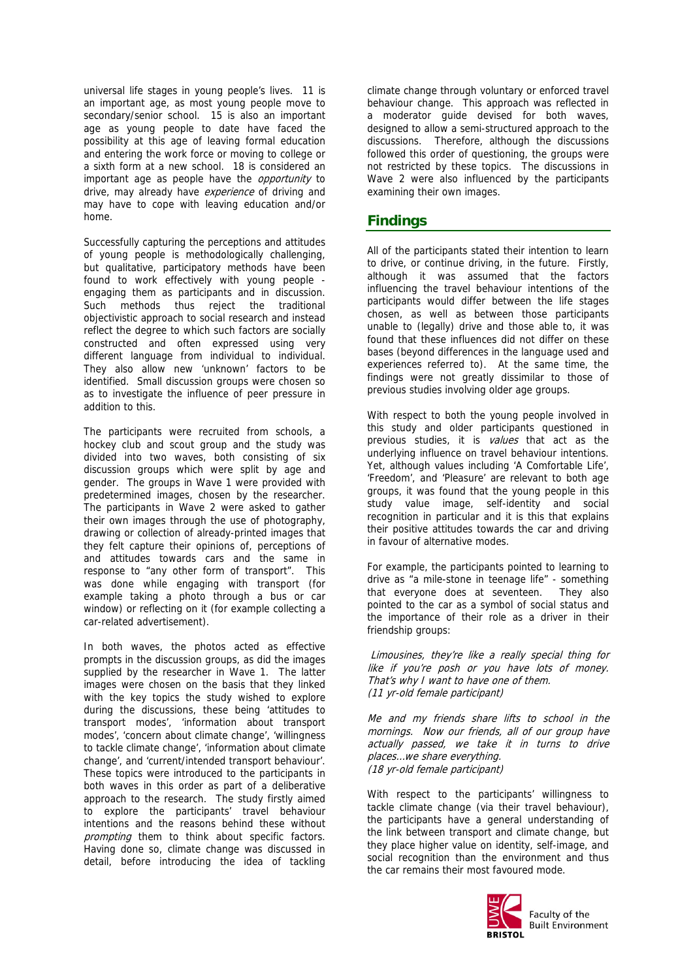universal life stages in young people's lives. 11 is an important age, as most young people move to secondary/senior school. 15 is also an important age as young people to date have faced the possibility at this age of leaving formal education and entering the work force or moving to college or a sixth form at a new school. 18 is considered an important age as people have the *opportunity* to drive, may already have experience of driving and may have to cope with leaving education and/or home.

Successfully capturing the perceptions and attitudes of young people is methodologically challenging, but qualitative, participatory methods have been found to work effectively with young people engaging them as participants and in discussion. Such methods thus reject the traditional objectivistic approach to social research and instead reflect the degree to which such factors are socially constructed and often expressed using very different language from individual to individual. They also allow new 'unknown' factors to be identified. Small discussion groups were chosen so as to investigate the influence of peer pressure in addition to this.

The participants were recruited from schools, a hockey club and scout group and the study was divided into two waves, both consisting of six discussion groups which were split by age and gender. The groups in Wave 1 were provided with predetermined images, chosen by the researcher. The participants in Wave 2 were asked to gather their own images through the use of photography, drawing or collection of already-printed images that they felt capture their opinions of, perceptions of and attitudes towards cars and the same in response to "any other form of transport". This was done while engaging with transport (for example taking a photo through a bus or car window) or reflecting on it (for example collecting a car-related advertisement).

In both waves, the photos acted as effective prompts in the discussion groups, as did the images supplied by the researcher in Wave 1. The latter images were chosen on the basis that they linked with the key topics the study wished to explore during the discussions, these being 'attitudes to transport modes', 'information about transport modes', 'concern about climate change', 'willingness to tackle climate change', 'information about climate change', and 'current/intended transport behaviour'. These topics were introduced to the participants in both waves in this order as part of a deliberative approach to the research. The study firstly aimed to explore the participants' travel behaviour intentions and the reasons behind these without prompting them to think about specific factors. Having done so, climate change was discussed in detail, before introducing the idea of tackling

climate change through voluntary or enforced travel behaviour change. This approach was reflected in a moderator guide devised for both waves, designed to allow a semi-structured approach to the discussions. Therefore, although the discussions followed this order of questioning, the groups were not restricted by these topics. The discussions in Wave 2 were also influenced by the participants examining their own images.

#### **Findings**

All of the participants stated their intention to learn to drive, or continue driving, in the future. Firstly, although it was assumed that the factors influencing the travel behaviour intentions of the participants would differ between the life stages chosen, as well as between those participants unable to (legally) drive and those able to, it was found that these influences did not differ on these bases (beyond differences in the language used and experiences referred to). At the same time, the findings were not greatly dissimilar to those of previous studies involving older age groups.

With respect to both the young people involved in this study and older participants questioned in previous studies, it is values that act as the underlying influence on travel behaviour intentions. Yet, although values including 'A Comfortable Life', 'Freedom', and 'Pleasure' are relevant to both age groups, it was found that the young people in this study value image, self-identity and social recognition in particular and it is this that explains their positive attitudes towards the car and driving in favour of alternative modes.

For example, the participants pointed to learning to drive as "a mile-stone in teenage life" - something that everyone does at seventeen. They also pointed to the car as a symbol of social status and the importance of their role as a driver in their friendship groups:

 Limousines, they're like a really special thing for like if you're posh or you have lots of money. That's why I want to have one of them. (11 yr-old female participant)

Me and my friends share lifts to school in the mornings. Now our friends, all of our group have actually passed, we take it in turns to drive places…we share everything. (18 yr-old female participant)

With respect to the participants' willingness to tackle climate change (via their travel behaviour), the participants have a general understanding of the link between transport and climate change, but they place higher value on identity, self-image, and social recognition than the environment and thus the car remains their most favoured mode.